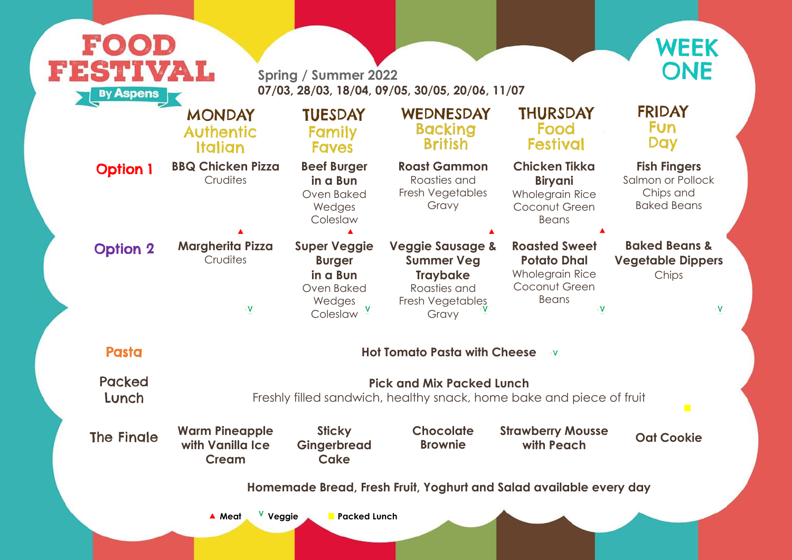### **Fish Fingers**

Salmon or Pollock Chips and Baked Beans

#### **Baked Beans & Vegetable Dippers** Chips

 $\mathbf V$ 

e of fruit

# **with Peach Oat Cookie**

 $\overline{\phantom{a}}$ 

very day

| FOOD                                                                |                                                                                                    |                                                                                      |                                                                                                                  |                                                                                                       |  |  |  |
|---------------------------------------------------------------------|----------------------------------------------------------------------------------------------------|--------------------------------------------------------------------------------------|------------------------------------------------------------------------------------------------------------------|-------------------------------------------------------------------------------------------------------|--|--|--|
| FESTIVAL<br><b>By Aspens</b>                                        | <b>Spring / Summer 2022</b><br>07/03, 28/03, 18/04, 09/05, 30/05, 20/06, 11/07                     |                                                                                      |                                                                                                                  |                                                                                                       |  |  |  |
|                                                                     | <b>MONDAY</b><br><b>Authentic</b><br>Italian                                                       | <b>TUESDAY</b><br><b>Family</b><br><b>Faves</b>                                      | WEDNESDAY<br><b>Backing</b><br><b>British</b>                                                                    | <b>THURSDAY</b><br>Food<br><b>Festival</b>                                                            |  |  |  |
| <b>Option 1</b>                                                     | <b>BBQ Chicken Pizza</b><br>Crudites                                                               | <b>Beef Burger</b><br>in a Bun<br>Oven Baked<br>Wedges<br>Coleslaw                   | <b>Roast Gammon</b><br>Roasties and<br>Fresh Vegetables<br>Gravy                                                 | <b>Chicken Tikka</b><br><b>Biryani</b><br><b>Wholegrain Rice</b><br>Coconut Green<br><b>Beans</b>     |  |  |  |
| <b>Option 2</b>                                                     | <b>Margherita Pizza</b><br>Crudites<br>V                                                           | <b>Super Veggie</b><br><b>Burger</b><br>in a Bun<br>Oven Baked<br>Wedges<br>Coleslaw | <b>Veggie Sausage &amp;</b><br><b>Summer Veg</b><br><b>Traybake</b><br>Roasties and<br>Fresh Vegetables<br>Gravy | <b>Roasted Sweet</b><br><b>Potato Dhal</b><br><b>Wholegrain Rice</b><br>Coconut Green<br><b>Beans</b> |  |  |  |
| <b>Pasta</b><br><b>Hot Tomato Pasta with Cheese</b><br>$\mathsf{V}$ |                                                                                                    |                                                                                      |                                                                                                                  |                                                                                                       |  |  |  |
| Packed<br>Lunch                                                     | <b>Pick and Mix Packed Lunch</b><br>Freshly filled sandwich, healthy snack, home bake and piece of |                                                                                      |                                                                                                                  |                                                                                                       |  |  |  |
| <b>The Fingle</b>                                                   | <b>Warm Pineapple</b><br>with Vanilla Ice<br><b>Cream</b>                                          | <b>Sticky</b><br>Gingerbread<br>Cake                                                 | <b>Chocolate</b><br><b>Brownie</b>                                                                               | <b>Strawberry Mousse</b><br>with Peach                                                                |  |  |  |
| Homemade Bread, Fresh Fruit, Yoghurt and Salad available every      |                                                                                                    |                                                                                      |                                                                                                                  |                                                                                                       |  |  |  |
|                                                                     | V Veggie<br>▲ Meat                                                                                 | <b>Packed Lunch</b>                                                                  |                                                                                                                  |                                                                                                       |  |  |  |
|                                                                     |                                                                                                    |                                                                                      |                                                                                                                  |                                                                                                       |  |  |  |



## **FRIDAY Fun** Day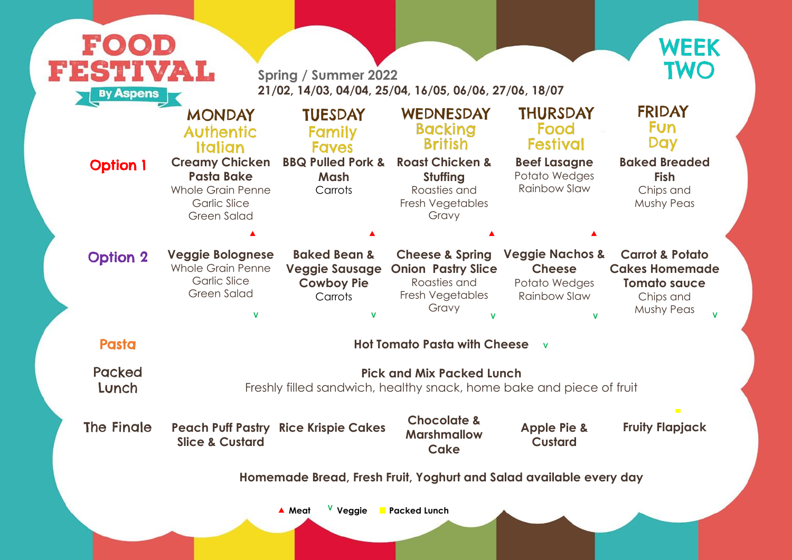#### **Baked Breaded Fish** Chips and Mushy Peas

| <b>FESTIVAL</b><br><b>By Aspens</b>                                |                                                                                                                     | <b>Spring / Summer 2022</b><br>21/02, 14/03, 04/04, 25/04, 16/05, 06/06, 27/06, 18/07 |                                                                                                      |                                                                                     | <b>TWO</b>                                                                                                   |  |  |
|--------------------------------------------------------------------|---------------------------------------------------------------------------------------------------------------------|---------------------------------------------------------------------------------------|------------------------------------------------------------------------------------------------------|-------------------------------------------------------------------------------------|--------------------------------------------------------------------------------------------------------------|--|--|
|                                                                    | <b>MONDAY</b><br><b>Authentic</b><br>Italian                                                                        | <b>TUESDAY</b><br>Family<br><b>Faves</b>                                              | WEDNESDAY<br><b>Backing</b><br><b>British</b>                                                        | <b>THURSDAY</b><br>Food<br><b>Festival</b>                                          | <b>FRIDAY</b><br><b>Fun</b><br><b>Day</b>                                                                    |  |  |
| <b>Option 1</b>                                                    | <b>Creamy Chicken</b><br><b>Pasta Bake</b><br><b>Whole Grain Penne</b><br><b>Garlic Slice</b><br><b>Green Salad</b> | <b>BBQ Pulled Pork &amp;</b><br>Mash<br>Carrots                                       | <b>Roast Chicken &amp;</b><br><b>Stuffing</b><br>Roasties and<br>Fresh Vegetables<br>Gravy           | <b>Beef Lasagne</b><br>Potato Wedges<br><b>Rainbow Slaw</b>                         | <b>Baked Breaded</b><br><b>Fish</b><br>Chips and<br><b>Mushy Peas</b>                                        |  |  |
| <b>Option 2</b>                                                    | <b>Veggie Bolognese</b><br><b>Whole Grain Penne</b><br><b>Garlic Slice</b><br><b>Green Salad</b>                    | <b>Baked Bean &amp;</b><br><b>Veggie Sausage</b><br><b>Cowboy Pie</b><br>Carrots      | <b>Cheese &amp; Spring</b><br><b>Onion Pastry Slice</b><br>Roasties and<br>Fresh Vegetables<br>Gravy | <b>Veggie Nachos &amp;</b><br><b>Cheese</b><br>Potato Wedges<br><b>Rainbow Slaw</b> | <b>Carrot &amp; Potato</b><br><b>Cakes Homemade</b><br><b>Tomato sauce</b><br>Chips and<br><b>Mushy Peas</b> |  |  |
| <b>Pasta</b>                                                       | <b>Hot Tomato Pasta with Cheese</b><br>$\mathbf{V}$                                                                 |                                                                                       |                                                                                                      |                                                                                     |                                                                                                              |  |  |
| <b>Packed</b><br>Lunch                                             | <b>Pick and Mix Packed Lunch</b><br>Freshly filled sandwich, healthy snack, home bake and piece of fruit            |                                                                                       |                                                                                                      |                                                                                     |                                                                                                              |  |  |
| The Fingle                                                         | <b>Slice &amp; Custard</b>                                                                                          | <b>Peach Puff Pastry Rice Krispie Cakes</b>                                           | <b>Chocolate &amp;</b><br><b>Marshmallow</b><br><b>Cake</b>                                          | <b>Apple Pie &amp;</b><br><b>Custard</b>                                            | $\mathbf{r}$<br><b>Fruity Flapjack</b>                                                                       |  |  |
| Homemade Bread, Fresh Fruit, Yoghurt and Salad available every day |                                                                                                                     |                                                                                       |                                                                                                      |                                                                                     |                                                                                                              |  |  |



## **FRIDAY Fun** Day